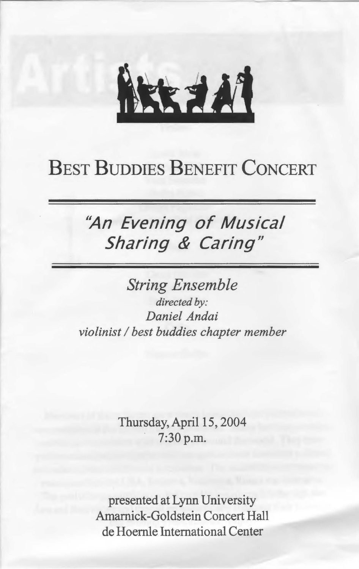

## BEST BUDDIES BENEFIT CONCERT

### "An **Evening** of Musical **Sharing** *&* **Caring"**

*String Ensemble directed by: Daniel Andai violinist I best buddies chapter member* 

> Thursday, April 15, 2004 7:30 p.m.

presented at Lynn University Amamick-Goldstein Concert Hall de Hoemle International Center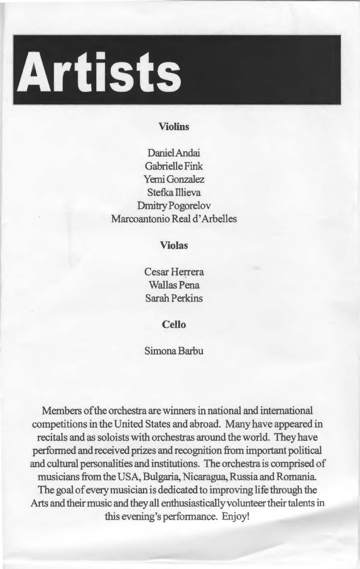

#### **Violins**

DanielAndai Gabrielle Fink Yemi Gonzalez Stefka Illieva Dmitry Pogorelov Marcoantonio Real d' Arbelles

**Violas** 

Cesar Herrera Wallas Pena Sarah Perkins

**Cello** 

#### Simona Barbu

Members of the orchestra are winners in national and international competitions in the United States and abroad. Many have appeared in recitals and as soloists with orchestras around the world. They have performed and received prizes and recognition from important political and cultural personalities and institutions. The orchestra is comprised of musicians from the USA, Bulgaria, Nicaragua, Russia and Romania The goal of every musician is dedicated to improving life through the Arts and their music and they all enthusiastically volunteer their talents in this evening's performance. Enjoy!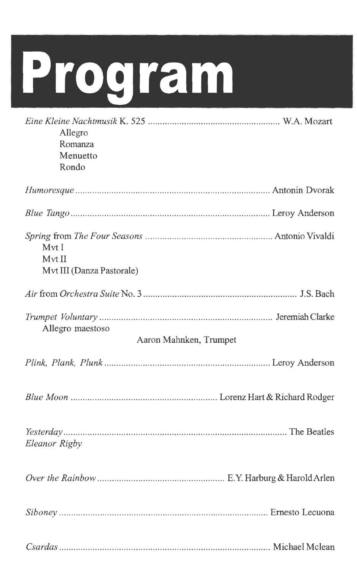# **Program**

| Allegro<br>Romanza<br>Menuetto<br>Rondo      |
|----------------------------------------------|
|                                              |
|                                              |
| Mvt I<br>Mvt II<br>Mvt III (Danza Pastorale) |
|                                              |
| Allegro maestoso<br>Aaron Mahnken, Trumpet   |
|                                              |
|                                              |
| Eleanor Rigby                                |
|                                              |
|                                              |
|                                              |